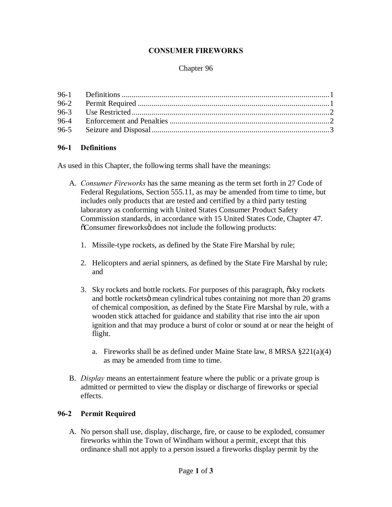## **CONSUMER FIREWORKS**

### Chapter 96

## **96-1 Definitions**

As used in this Chapter, the following terms shall have the meanings:

- A. *Consumer Fireworks* has the same meaning as the term set forth in 27 Code of Federal Regulations, Section 555.11, as may be amended from time to time, but includes only products that are tested and certified by a third party testing laboratory as conforming with United States Consumer Product Safety Commission standards, in accordance with 15 United States Code, Chapter 47.  $\tilde{\text{o}}$ Consumer fireworks does not include the following products:
	- 1. Missile-type rockets, as defined by the State Fire Marshal by rule;
	- 2. Helicopters and aerial spinners, as defined by the State Fire Marshal by rule; and
	- 3. Sky rockets and bottle rockets. For purposes of this paragraph,  $\delta$ sky rockets and bottle rockets mean cylindrical tubes containing not more than 20 grams of chemical composition, as defined by the State Fire Marshal by rule, with a wooden stick attached for guidance and stability that rise into the air upon ignition and that may produce a burst of color or sound at or near the height of flight.
		- a. Fireworks shall be as defined under Maine State law, 8 MRSA §221(a)(4) as may be amended from time to time.
- B. *Display* means an entertainment feature where the public or a private group is admitted or permitted to view the display or discharge of fireworks or special effects.

## **96-2 Permit Required**

A. No person shall use, display, discharge, fire, or cause to be exploded, consumer fireworks within the Town of Windham without a permit, except that this ordinance shall not apply to a person issued a fireworks display permit by the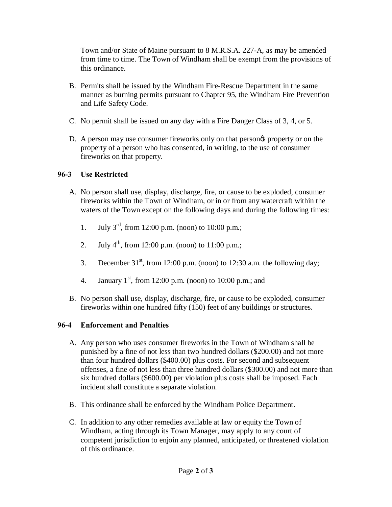Town and/or State of Maine pursuant to 8 M.R.S.A. 227-A, as may be amended from time to time. The Town of Windham shall be exempt from the provisions of this ordinance.

- B. Permits shall be issued by the Windham Fire-Rescue Department in the same manner as burning permits pursuant to Chapter 95, the Windham Fire Prevention and Life Safety Code.
- C. No permit shall be issued on any day with a Fire Danger Class of 3, 4, or 5.
- D. A person may use consumer fireworks only on that persongs property or on the property of a person who has consented, in writing, to the use of consumer fireworks on that property.

## **96-3 Use Restricted**

- A. No person shall use, display, discharge, fire, or cause to be exploded, consumer fireworks within the Town of Windham, or in or from any watercraft within the waters of the Town except on the following days and during the following times:
	- 1. July  $3^{\text{rd}}$ , from 12:00 p.m. (noon) to 10:00 p.m.;
	- 2. July  $4^{th}$ , from 12:00 p.m. (noon) to 11:00 p.m.;
	- 3. December  $31<sup>st</sup>$ , from 12:00 p.m. (noon) to 12:30 a.m. the following day;
	- 4. January  $1^{st}$ , from 12:00 p.m. (noon) to 10:00 p.m.; and
- B. No person shall use, display, discharge, fire, or cause to be exploded, consumer fireworks within one hundred fifty (150) feet of any buildings or structures.

# **96-4 Enforcement and Penalties**

- A. Any person who uses consumer fireworks in the Town of Windham shall be punished by a fine of not less than two hundred dollars (\$200.00) and not more than four hundred dollars (\$400.00) plus costs. For second and subsequent offenses, a fine of not less than three hundred dollars (\$300.00) and not more than six hundred dollars (\$600.00) per violation plus costs shall be imposed. Each incident shall constitute a separate violation.
- B. This ordinance shall be enforced by the Windham Police Department.
- C. In addition to any other remedies available at law or equity the Town of Windham, acting through its Town Manager, may apply to any court of competent jurisdiction to enjoin any planned, anticipated, or threatened violation of this ordinance.